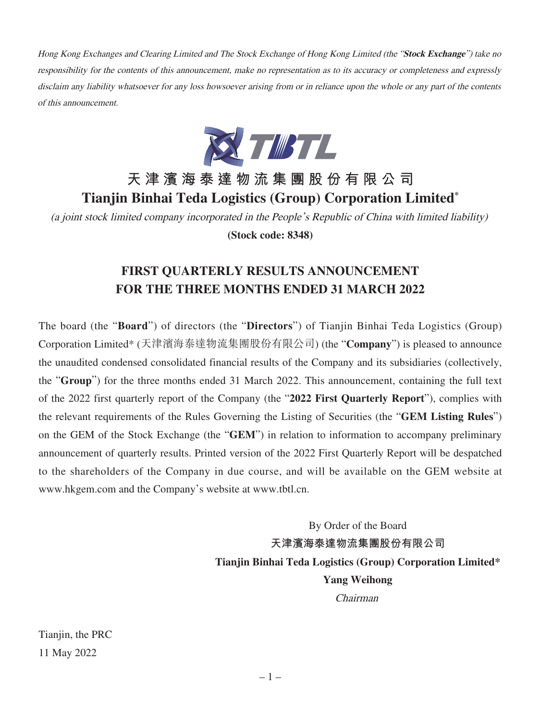Hong Kong Exchanges and Clearing Limited and The Stock Exchange of Hong Kong Limited (the "**Stock Exchange**") take no responsibility for the contents of this announcement, make no representation as to its accuracy or completeness and expressly disclaim any liability whatsoever for any loss howsoever arising from or in reliance upon the whole or any part of the contents of this announcement.



# **天津濱海泰達物流集團股份有限公司 Tianjin Binhai Teda Logistics (Group) Corporation Limited\***

(a joint stock limited company incorporated in the People's Republic of China with limited liability) **(Stock code: 8348)**

# **FIRST QUARTERLY RESULTS ANNOUNCEMENT FOR THE THREE MONTHS ENDED 31 MARCH 2022**

The board (the "**Board**") of directors (the "**Directors**") of Tianjin Binhai Teda Logistics (Group) Corporation Limited\* (天津濱海泰達物流集團股份有限公司) (the "**Company**") is pleased to announce the unaudited condensed consolidated financial results of the Company and its subsidiaries (collectively, the "**Group**") for the three months ended 31 March 2022. This announcement, containing the full text of the 2022 first quarterly report of the Company (the "**2022 First Quarterly Report**"), complies with the relevant requirements of the Rules Governing the Listing of Securities (the "**GEM Listing Rules**") on the GEM of the Stock Exchange (the "**GEM**") in relation to information to accompany preliminary announcement of quarterly results. Printed version of the 2022 First Quarterly Report will be despatched to the shareholders of the Company in due course, and will be available on the GEM website at www.hkgem.com and the Company's website at www.tbtl.cn.

> By Order of the Board **天津濱海泰達物流集團股份有限公司 Tianjin Binhai Teda Logistics (Group) Corporation Limited\* Yang Weihong** Chairman

Tianjin, the PRC 11 May 2022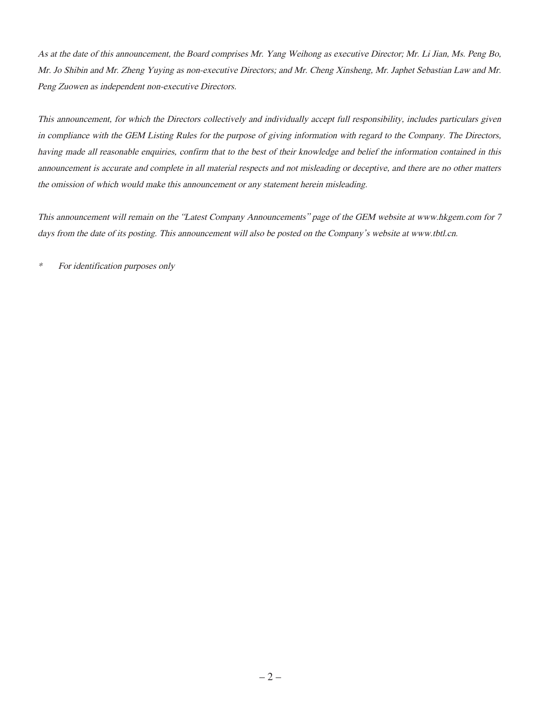As at the date of this announcement, the Board comprises Mr. Yang Weihong as executive Director; Mr. Li Jian, Ms. Peng Bo, Mr. Jo Shibin and Mr. Zheng Yuying as non-executive Directors; and Mr. Cheng Xinsheng, Mr. Japhet Sebastian Law and Mr. Peng Zuowen as independent non-executive Directors.

This announcement, for which the Directors collectively and individually accept full responsibility, includes particulars given in compliance with the GEM Listing Rules for the purpose of giving information with regard to the Company. The Directors, having made all reasonable enquiries, confirm that to the best of their knowledge and belief the information contained in this announcement is accurate and complete in all material respects and not misleading or deceptive, and there are no other matters the omission of which would make this announcement or any statement herein misleading.

This announcement will remain on the "Latest Company Announcements" page of the GEM website at www.hkgem.com for 7 days from the date of its posting. This announcement will also be posted on the Company's website at www.tbtl.cn.

\* For identification purposes only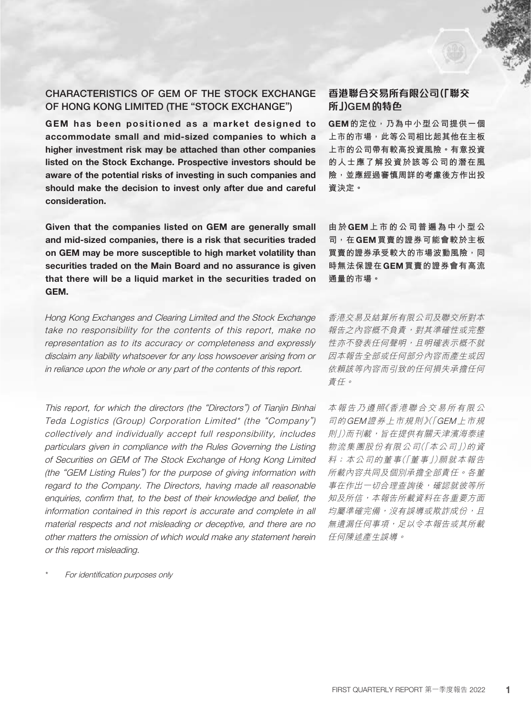# CHARACTERISTICS OF GEM OF THE STOCK EXCHANGE OF HONG KONG LIMITED (THE "STOCK EXCHANGE")

GEM has been positioned as a market designed to accommodate small and mid-sized companies to which a higher investment risk may be attached than other companies listed on the Stock Exchange. Prospective investors should be aware of the potential risks of investing in such companies and should make the decision to invest only after due and careful consideration.

Given that the companies listed on GEM are generally small and mid-sized companies, there is a risk that securities traded on GEM may be more susceptible to high market volatility than securities traded on the Main Board and no assurance is given that there will be a liquid market in the securities traded on GEM.

Hong Kong Exchanges and Clearing Limited and the Stock Exchange take no responsibility for the contents of this report, make no representation as to its accuracy or completeness and expressly disclaim any liability whatsoever for any loss howsoever arising from or in reliance upon the whole or any part of the contents of this report.

This report, for which the directors (the "Directors") of Tianjin Binhai Teda Logistics (Group) Corporation Limited\* (the "Company") collectively and individually accept full responsibility, includes particulars given in compliance with the Rules Governing the Listing of Securities on GEM of The Stock Exchange of Hong Kong Limited (the "GEM Listing Rules") for the purpose of giving information with regard to the Company. The Directors, having made all reasonable enquiries, confirm that, to the best of their knowledge and belief, the information contained in this report is accurate and complete in all material respects and not misleading or deceptive, and there are no other matters the omission of which would make any statement herein or this report misleading.

For identification purposes only

# **香港聯合交易所有限公司(「聯交 所」)**GEM**的特色**

GEM**的定位,乃為中小型公司提供一個 上市的市場,此等公司相比起其他在主板 上市的公司帶有較高投資風險。有意投資 的人士應了解投資於該等公司的潛在風 險,並應經過審慎周詳的考慮後方作出投 資決定。**

**由於**GEM**上市的公司普遍為中小型公 司,在**GEM**買賣的證券可能會較於主板 買賣的證券承受較大的市場波動風險,同 時無法保證在**GEM**買賣的證券會有高流 通量的市場。**

香港交易及結算所有限公司及聯交所對本 報告之內容概不負責,對其準確性或完整 性亦不發表任何聲明,且明確表示概不就 因本報告全部或任何部分內容而產生或因 依賴該等內容而引致的任何損失承擔任何 責任。

本報告乃遵照《香港聯合交易所有限公 司的GEM證券上市規則》(「GEM上市規 則」)而刊載,旨在提供有關天津濱海泰達 物流集團股份有限公司(「本公司」)的資 料;本公司的董事(「董事」)願就本報告 所載內容共同及個別承擔全部責任。各董 事在作出一切合理查詢後,確認就彼等所 知及所信,本報告所載資料在各重要方面 均屬準確完備,沒有誤導或欺詐成份,且 無遺漏任何事項,足以令本報告或其所載 任何陳述產生誤導。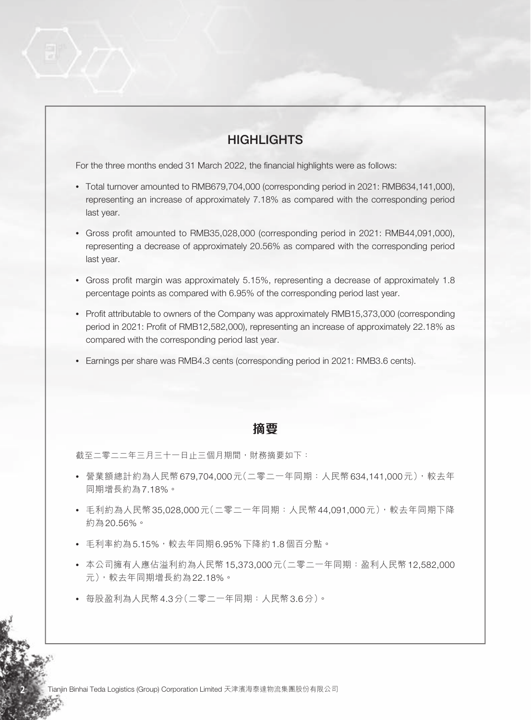# **HIGHLIGHTS**

For the three months ended 31 March 2022, the financial highlights were as follows:

- Total turnover amounted to RMB679,704,000 (corresponding period in 2021: RMB634,141,000), representing an increase of approximately 7.18% as compared with the corresponding period last year.
- Gross profit amounted to RMB35,028,000 (corresponding period in 2021: RMB44,091,000), representing a decrease of approximately 20.56% as compared with the corresponding period last year.
- Gross profit margin was approximately 5.15%, representing a decrease of approximately 1.8 percentage points as compared with 6.95% of the corresponding period last year.
- Profit attributable to owners of the Company was approximately RMB15,373,000 (corresponding period in 2021: Profit of RMB12,582,000), representing an increase of approximately 22.18% as compared with the corresponding period last year.
- Earnings per share was RMB4.3 cents (corresponding period in 2021: RMB3.6 cents).

## **摘要**

截至二零二二年三月三十一日止三個月期間,財務摘要如下:

- 營業額總計約為人民幣679,704,000元(二零二一年同期:人民幣634,141,000元),較去年 同期增長約為7.18%。
- 毛利約為人民幣35,028,000元(二零二一年同期:人民幣44,091,000元),較去年同期下降 約為20.56%。
- 毛利率約為5.15%,較去年同期6.95%下降約1.8個百分點。
- 本公司擁有人應佔溢利約為人民幣15,373,000元(二零二一年同期:盈利人民幣12,582,000 元),較去年同期增長約為22.18%。
- 每股盈利為人民幣4.3分(二零二一年同期:人民幣3.6分)。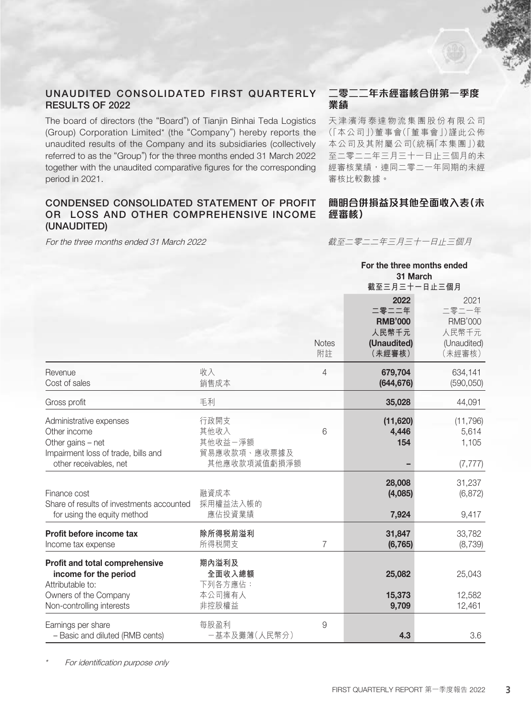## UNAUDITED CONSOLIDATED FIRST QUARTERLY RESULTS OF 2022

The board of directors (the "Board") of Tianjin Binhai Teda Logistics (Group) Corporation Limited\* (the "Company") hereby reports the unaudited results of the Company and its subsidiaries (collectively referred to as the "Group") for the three months ended 31 March 2022 together with the unaudited comparative figures for the corresponding period in 2021.

## CONDENSED CONSOLIDATED STATEMENT OF PROFIT OR LOSS AND OTHER COMPREHENSIVE INCOME (UNAUDITED)

For the three months ended 31 March 2022

## **二零二二年未經審核合併第一季度 業績**

天津濱海泰達物流集團股份有限公司 (「本公司」)董事會(「董事會」)謹此公佈 本公司及其附屬公司(統稱「本集團」)截 至二零二二年三月三十一日止三個月的未 經審核業績,連同二零二一年同期的未經 審核比較數據。

## **簡明合併損益及其他全面收入表(未 經審核)**

For the three months ended

截至二零二二年三月三十一日止三個月

|                                                                                                                                   |                                                         |                    | 31 March<br>截至三月三十一日止三個月                                          |                                                                   |
|-----------------------------------------------------------------------------------------------------------------------------------|---------------------------------------------------------|--------------------|-------------------------------------------------------------------|-------------------------------------------------------------------|
|                                                                                                                                   |                                                         | <b>Notes</b><br>附註 | 2022<br>二零二二年<br><b>RMB'000</b><br>人民幣千元<br>(Unaudited)<br>(未經審核) | 2021<br>二零二一年<br><b>RMB'000</b><br>人民幣千元<br>(Unaudited)<br>(未經審核) |
| Revenue<br>Cost of sales                                                                                                          | 收入<br>銷售成本                                              | $\overline{4}$     | 679,704<br>(644, 676)                                             | 634,141<br>(590, 050)                                             |
| Gross profit                                                                                                                      | 毛利                                                      |                    | 35,028                                                            | 44,091                                                            |
| Administrative expenses<br>Other income<br>Other gains - net<br>Impairment loss of trade, bills and<br>other receivables, net     | 行政開支<br>其他收入<br>其他收益一淨額<br>貿易應收款項、應收票據及<br>其他應收款項減值虧損淨額 | 6                  | (11,620)<br>4,446<br>154                                          | (11, 796)<br>5,614<br>1,105<br>(7, 777)                           |
| Finance cost<br>Share of results of investments accounted<br>for using the equity method                                          | 融資成本<br>採用權益法入帳的<br>應佔投資業績                              |                    | 28,008<br>(4,085)<br>7,924                                        | 31,237<br>(6, 872)<br>9,417                                       |
| Profit before income tax<br>Income tax expense                                                                                    | 除所得税前溢利<br>所得税開支                                        | $\overline{7}$     | 31,847<br>(6, 765)                                                | 33,782<br>(8,739)                                                 |
| Profit and total comprehensive<br>income for the period<br>Attributable to:<br>Owners of the Company<br>Non-controlling interests | 期內溢利及<br>全面收入總額<br>下列各方應佔:<br>本公司擁有人<br>非控股權益           |                    | 25,082<br>15,373<br>9,709                                         | 25,043<br>12,582<br>12,461                                        |
| Earnings per share<br>- Basic and diluted (RMB cents)                                                                             | 每股盈利<br>一基本及攤薄(人民幣分)                                    | $\hbox{9}$         | 4.3                                                               | 3.6                                                               |

For identification purpose only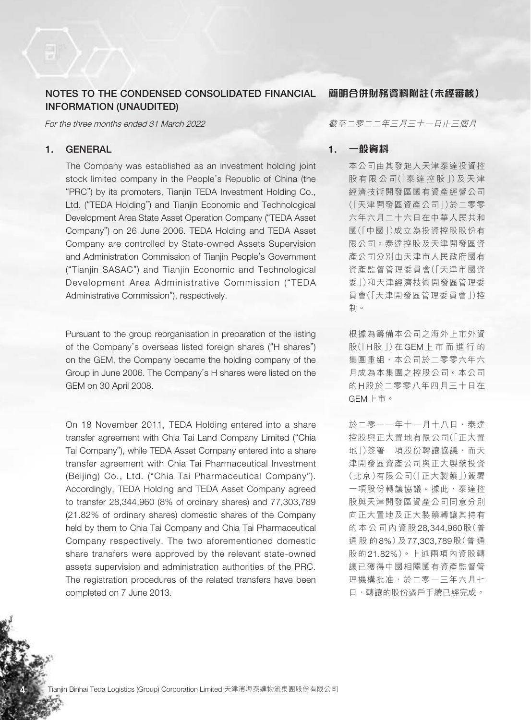## NOTES TO THE CONDENSED CONSOLIDATED FINANCIAL INFORMATION (UNAUDITED)

For the three months ended 31 March 2022

### 1. GENERAL

The Company was established as an investment holding joint stock limited company in the People's Republic of China (the "PRC") by its promoters, Tianjin TEDA Investment Holding Co., Ltd. ("TEDA Holding") and Tianjin Economic and Technological Development Area State Asset Operation Company ("TEDA Asset Company") on 26 June 2006. TEDA Holding and TEDA Asset Company are controlled by State-owned Assets Supervision and Administration Commission of Tianjin People's Government ("Tianjin SASAC") and Tianjin Economic and Technological Development Area Administrative Commission ("TEDA Administrative Commission"), respectively.

Pursuant to the group reorganisation in preparation of the listing of the Company's overseas listed foreign shares ("H shares") on the GEM, the Company became the holding company of the Group in June 2006. The Company's H shares were listed on the GEM on 30 April 2008.

On 18 November 2011, TEDA Holding entered into a share transfer agreement with Chia Tai Land Company Limited ("Chia Tai Company"), while TEDA Asset Company entered into a share transfer agreement with Chia Tai Pharmaceutical Investment (Beijing) Co., Ltd. ("Chia Tai Pharmaceutical Company"). Accordingly, TEDA Holding and TEDA Asset Company agreed to transfer 28,344,960 (8% of ordinary shares) and 77,303,789 (21.82% of ordinary shares) domestic shares of the Company held by them to Chia Tai Company and Chia Tai Pharmaceutical Company respectively. The two aforementioned domestic share transfers were approved by the relevant state-owned assets supervision and administration authorities of the PRC. The registration procedures of the related transfers have been completed on 7 June 2013.

**簡明合併財務資料附註(未經審核)**

截至二零二二年三月三十一日止三個月

### 1. **一般資料**

本公司由其發起人天津泰達投資控 股 有 限 公 司(「泰 達 控 股 」)及 天 津 經濟技術開發區國有資產經營公司 (「天津開發區資產公司」)於二零零 六年六月二十六日在中華人民共和 國(「中國」)成立為投資控股股份有 限公司。泰達控股及天津開發區資 產公司分別由天津市人民政府國有 資產監督管理委員會(「天津市國資 委」)和天津經濟技術開發區管理委 員會(「天津開發區管理委員會」)控 制。

根據為籌備本公司之海外上市外資 股(「H股 」)在GEM上市而進行的 集團重組,本公司於二零零六年六 月成為本集團之控股公司。本公司 的H股於二零零八年四月三十日在 GEM上市。

於二零一一年十一月十八日,泰達 控股與正大置地有限公司(「正大置 地」)簽署一項股份轉讓協議,而天 津開發區資產公司與正大製藥投資 (北京)有限公司(「正大製藥」)簽署 一項股份轉讓協議。據此,泰達控 股與天津開發區資產公司同意分別 向正大置地及正大製藥轉讓其持有 的本公司內資股28,344,960股(普 通股的8%)及77,303,789股(普 通 股的21.82%)。上述兩項內資股轉 讓已獲得中國相關國有資產監督管 理機構批准,於二零一三年六月七 日,轉讓的股份過戶手續已經完成。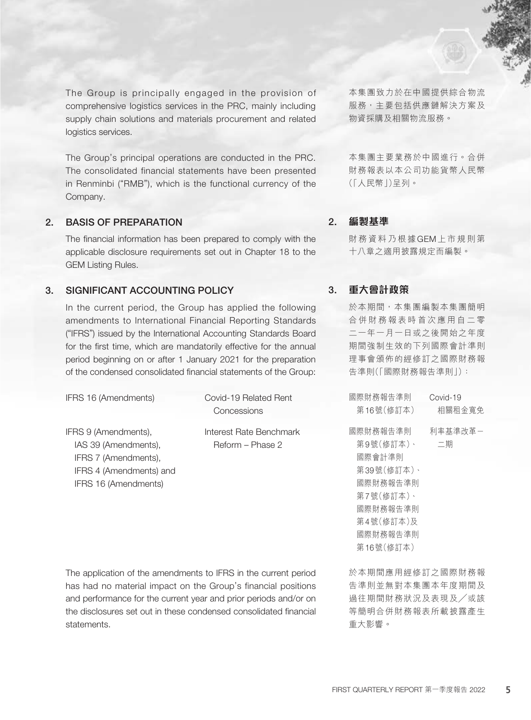The Group is principally engaged in the provision of comprehensive logistics services in the PRC, mainly including supply chain solutions and materials procurement and related logistics services.

The Group's principal operations are conducted in the PRC. The consolidated financial statements have been presented in Renminbi ("RMB"), which is the functional currency of the Company.

## 2. BASIS OF PREPARATION

The financial information has been prepared to comply with the applicable disclosure requirements set out in Chapter 18 to the GEM Listing Rules.

## 3. SIGNIFICANT ACCOUNTING POLICY

In the current period, the Group has applied the following amendments to International Financial Reporting Standards ("IFRS") issued by the International Accounting Standards Board for the first time, which are mandatorily effective for the annual period beginning on or after 1 January 2021 for the preparation of the condensed consolidated financial statements of the Group:

| IFRS 16 (Amendments)                                                                                                    | Covid-19 Related Rent<br>Concessions        |
|-------------------------------------------------------------------------------------------------------------------------|---------------------------------------------|
| IFRS 9 (Amendments),<br>IAS 39 (Amendments),<br>IFRS 7 (Amendments),<br>IFRS 4 (Amendments) and<br>IFRS 16 (Amendments) | Interest Rate Benchmark<br>Reform – Phase 2 |

The application of the amendments to IFRS in the current period has had no material impact on the Group's financial positions and performance for the current year and prior periods and/or on the disclosures set out in these condensed consolidated financial statements.

本集團致力於在中國提供綜合物流 服務,主要包括供應鏈解決方案及 物資採購及相關物流服務。

本集團主要業務於中國進行。合併 財務報表以本公司功能貨幣人民幣 (「人民幣」)呈列。

### 2. **編製基準**

財務資料乃根據GEM上市規則第 十八章之適用披露規定而編製。

## 3. **重大會計政策**

於本期間,本集團編製本集團簡明 合併財務報表時首次應用自二零 二一年一月一日或之後開始之年度 期間強制生效的下列國際會計準則 理事會頒佈的經修訂之國際財務報 告準則(「國際財務報告準則」):

| 國際財務報告準則   | Covid-19 |
|------------|----------|
| 第16號(修訂本)  | 相關租金寬免   |
| 國際財務報告準則   | 利率基準改革-  |
| 第9號(修訂本)、  | 二期       |
| 國際會計準則     |          |
| 第39號(修訂本)、 |          |
| 國際財務報告準則   |          |
| 第7號(修訂本)、  |          |
| 國際財務報告進則   |          |
| 第4號(修訂本)及  |          |
| 國際財務報告準則   |          |
| 第16號(修訂本)  |          |
|            |          |

於本期間應用經修訂之國際財務報 告準則並無對本集團本年度期間及 過往期間財務狀況及表現及╱或該 等簡明合併財務報表所載披露產生 重大影響。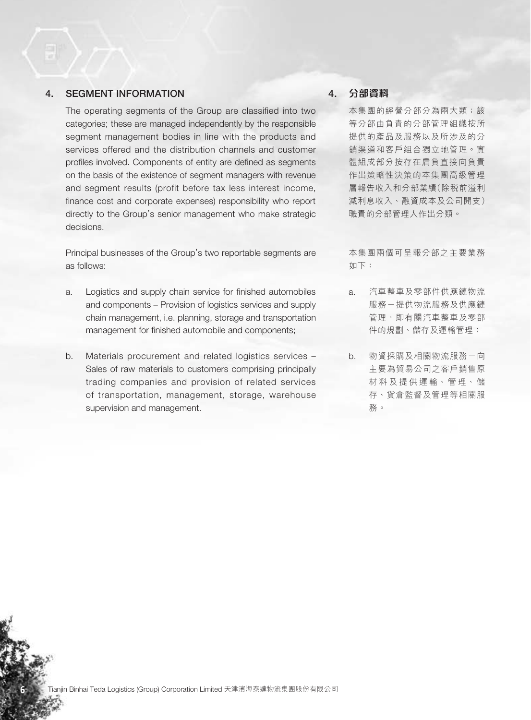## 4. SEGMENT INFORMATION

The operating segments of the Group are classified into two categories; these are managed independently by the responsible segment management bodies in line with the products and services offered and the distribution channels and customer profiles involved. Components of entity are defined as segments on the basis of the existence of segment managers with revenue and segment results (profit before tax less interest income, finance cost and corporate expenses) responsibility who report directly to the Group's senior management who make strategic decisions.

Principal businesses of the Group's two reportable segments are as follows:

- a. Logistics and supply chain service for finished automobiles and components – Provision of logistics services and supply chain management, i.e. planning, storage and transportation management for finished automobile and components;
- b. Materials procurement and related logistics services Sales of raw materials to customers comprising principally trading companies and provision of related services of transportation, management, storage, warehouse supervision and management.

## 4. **分部資料**

本集團的經營分部分為兩大類;該 等分部由負責的分部管理組織按所 提供的產品及服務以及所涉及的分 銷渠道和客戶組合獨立地管理。實 體組成部分按存在肩負直接向負責 作出策略性決策的本集團高級管理 層報告收入和分部業績(除稅前溢利 減利息收入、融資成本及公司開支) 職責的分部管理人作出分類。

本集團兩個可呈報分部之主要業務 如下:

- a. 汽車整車及零部件供應鏈物流 服務一提供物流服務及供應鏈 管理,即有關汽車整車及零部 件的規劃、儲存及運輸管理;
- b. 物資採購及相關物流服務-向 主要為貿易公司之客戶銷售原 材料及提供運輸、管理、儲 存、貨倉監督及管理等相關服 務。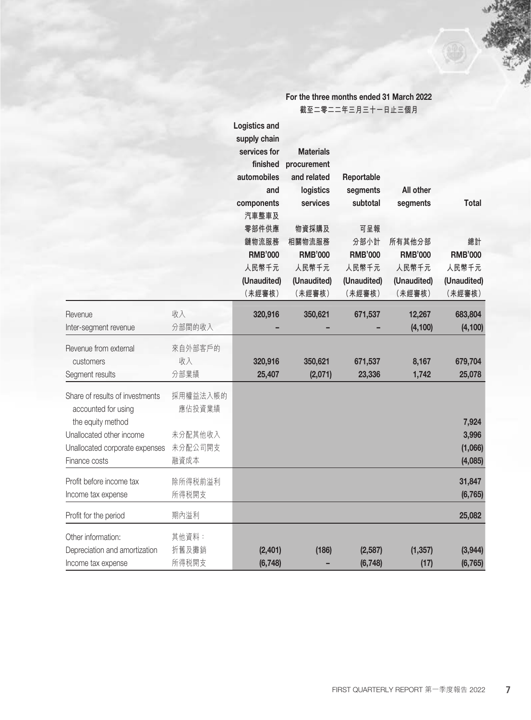|                                                                             |                            | <b>Logistics and</b><br>supply chain<br>services for<br>finished<br>automobiles | <b>Materials</b><br>procurement<br>and related                      | Reportable                                                     |                                                            |                                               |
|-----------------------------------------------------------------------------|----------------------------|---------------------------------------------------------------------------------|---------------------------------------------------------------------|----------------------------------------------------------------|------------------------------------------------------------|-----------------------------------------------|
|                                                                             |                            | and<br>components<br>汽車整車及<br>零部件供應<br>鏈物流服務<br><b>RMB'000</b><br>人民幣千元         | logistics<br>services<br>物資採購及<br>相關物流服務<br><b>RMB'000</b><br>人民幣千元 | segments<br>subtotal<br>可呈報<br>分部小計<br><b>RMB'000</b><br>人民幣千元 | All other<br>segments<br>所有其他分部<br><b>RMB'000</b><br>人民幣千元 | <b>Total</b><br>總計<br><b>RMB'000</b><br>人民幣千元 |
|                                                                             |                            | (Unaudited)<br>(未經審核)                                                           | (Unaudited)<br>(未經審核)                                               | (Unaudited)<br>(未經審核)                                          | (Unaudited)<br>(未經審核)                                      | (Unaudited)<br>(未經審核)                         |
| Revenue<br>Inter-segment revenue                                            | 收入<br>分部間的收入               | 320,916                                                                         | 350,621                                                             | 671,537                                                        | 12,267<br>(4, 100)                                         | 683,804<br>(4, 100)                           |
| Revenue from external<br>customers<br>Segment results                       | 來自外部客戶的<br>收入<br>分部業績      | 320,916<br>25,407                                                               | 350,621<br>(2,071)                                                  | 671,537<br>23,336                                              | 8,167<br>1,742                                             | 679,704<br>25,078                             |
| Share of results of investments<br>accounted for using<br>the equity method | 採用權益法入帳的<br>應佔投資業績         |                                                                                 |                                                                     |                                                                |                                                            | 7,924                                         |
| Unallocated other income<br>Unallocated corporate expenses<br>Finance costs | 未分配其他收入<br>未分配公司開支<br>融資成本 |                                                                                 |                                                                     |                                                                |                                                            | 3,996<br>(1,066)<br>(4,085)                   |
| Profit before income tax<br>Income tax expense                              | 除所得税前溢利<br>所得税開支           |                                                                                 |                                                                     |                                                                |                                                            | 31,847<br>(6, 765)                            |
| Profit for the period                                                       | 期內溢利                       |                                                                                 |                                                                     |                                                                |                                                            | 25,082                                        |
| Other information:<br>Depreciation and amortization<br>Income tax expense   | 其他資料:<br>折舊及攤銷<br>所得税開支    | (2,401)<br>(6, 748)                                                             | (186)                                                               | (2,587)<br>(6, 748)                                            | (1, 357)<br>(17)                                           | (3,944)<br>(6, 765)                           |

For the three months ended 31 March 2022 **截至二零二二年三月三十一日止三個月**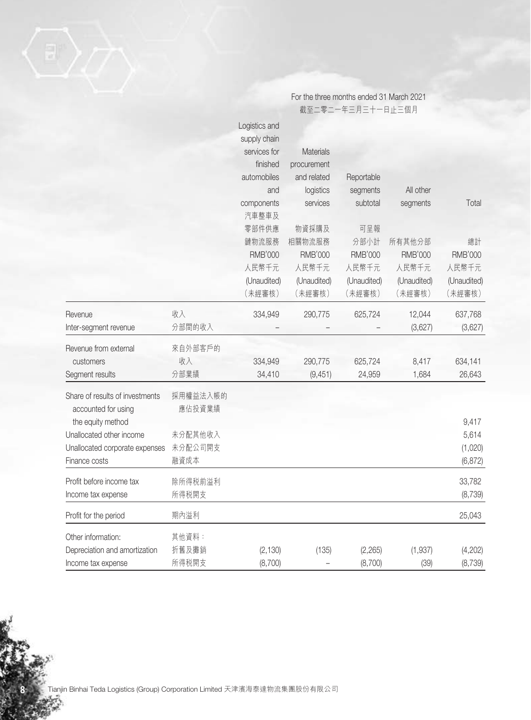|                                                        |                    | For the three months ended 31 March 2021 |                  |                   |                |                |
|--------------------------------------------------------|--------------------|------------------------------------------|------------------|-------------------|----------------|----------------|
|                                                        |                    |                                          |                  | 截至二零二一年三月三十一日止三個月 |                |                |
|                                                        |                    | Logistics and                            |                  |                   |                |                |
|                                                        |                    | supply chain                             |                  |                   |                |                |
|                                                        |                    | services for                             | <b>Materials</b> |                   |                |                |
|                                                        |                    | finished                                 | procurement      |                   |                |                |
|                                                        |                    | automobiles                              | and related      | Reportable        |                |                |
|                                                        |                    | and                                      | logistics        | segments          | All other      |                |
|                                                        |                    | components<br>汽車整車及                      | services         | subtotal          | segments       | Total          |
|                                                        |                    | 零部件供應                                    | 物資採購及            | 可呈報               |                |                |
|                                                        |                    | 鏈物流服務                                    | 相關物流服務           | 分部小計              | 所有其他分部         | 總計             |
|                                                        |                    | <b>RMB'000</b>                           | <b>RMB'000</b>   | <b>RMB'000</b>    | <b>RMB'000</b> | <b>RMB'000</b> |
|                                                        |                    | 人民幣千元                                    | 人民幣千元            | 人民幣千元             | 人民幣千元          | 人民幣千元          |
|                                                        |                    | (Unaudited)                              | (Unaudited)      | (Unaudited)       | (Unaudited)    | (Unaudited)    |
|                                                        |                    | (未經審核)                                   | (未經審核)           | (未經審核)            | (未經審核)         | (未經審核)         |
| Revenue                                                | 收入                 | 334,949                                  | 290,775          | 625,724           | 12,044         | 637,768        |
| Inter-segment revenue                                  | 分部間的收入             |                                          |                  |                   | (3,627)        | (3,627)        |
| Revenue from external                                  | 來自外部客戶的            |                                          |                  |                   |                |                |
| customers                                              | 收入                 | 334,949                                  | 290,775          | 625,724           | 8,417          | 634,141        |
| Segment results                                        | 分部業績               | 34,410                                   | (9, 451)         | 24,959            | 1,684          | 26,643         |
| Share of results of investments<br>accounted for using | 採用權益法入帳的<br>應佔投資業績 |                                          |                  |                   |                |                |
| the equity method                                      |                    |                                          |                  |                   |                | 9,417          |
| Unallocated other income                               | 未分配其他收入            |                                          |                  |                   |                | 5,614          |
| Unallocated corporate expenses                         | 未分配公司開支            |                                          |                  |                   |                | (1,020)        |
| Finance costs                                          | 融資成本               |                                          |                  |                   |                | (6, 872)       |
| Profit before income tax                               | 除所得税前溢利            |                                          |                  |                   |                | 33,782         |
| Income tax expense                                     | 所得税開支              |                                          |                  |                   |                | (8,739)        |
| Profit for the period                                  | 期內溢利               |                                          |                  |                   |                | 25,043         |
| Other information:                                     | 其他資料:              |                                          |                  |                   |                |                |
| Depreciation and amortization                          | 折舊及攤銷              | (2, 130)                                 | (135)            | (2, 265)          | (1,937)        | (4,202)        |
| Income tax expense                                     | 所得税開支              | (8,700)                                  |                  | (8,700)           | (39)           | (8, 739)       |

**8** Tianjin Binhai Teda Logistics (Group) Corporation Limited 天津濱海泰達物流集團股份有限公司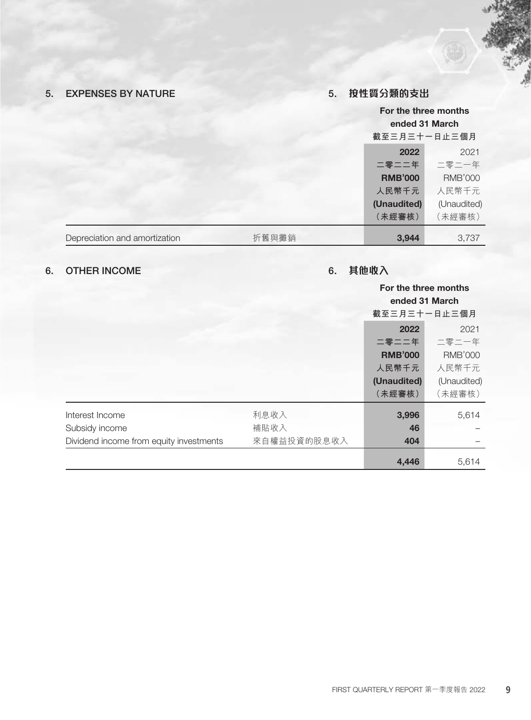# 5. EXPENSES BY NATURE

# 5. **按性質分類的支出**

|                               |       | 截至三月三十一日止三個月   | For the three months<br>ended 31 March |
|-------------------------------|-------|----------------|----------------------------------------|
|                               |       | 2022           | 2021                                   |
|                               |       | 二零二二年          | 二零二一年                                  |
|                               |       | <b>RMB'000</b> | <b>RMB'000</b>                         |
|                               |       | 人民幣千元          | 人民幣千元                                  |
|                               |       | (Unaudited)    | (Unaudited)                            |
|                               |       | (未經審核)         | (未經審核)                                 |
| Depreciation and amortization | 折舊與攤銷 | 3,944          | 3,737                                  |

# 6. OTHER INCOME

# 6. **其他收入**

|                                         |             | For the three months |                |
|-----------------------------------------|-------------|----------------------|----------------|
|                                         |             | ended 31 March       |                |
|                                         |             | 截至三月三十一日止三個月         |                |
|                                         |             | 2022                 | 2021           |
|                                         |             | 二零二二年                | 二零二一年          |
|                                         |             | <b>RMB'000</b>       | <b>RMB'000</b> |
|                                         |             | 人民幣千元                | 人民幣千元          |
|                                         |             | (Unaudited)          | (Unaudited)    |
|                                         |             | (未經審核)               | (未經審核)         |
| Interest Income                         | 利息收入        | 3,996                | 5,614          |
| Subsidy income                          | 補貼收入        | 46                   |                |
| Dividend income from equity investments | 來自權益投資的股息收入 | 404                  |                |
|                                         |             | 4,446                | 5,614          |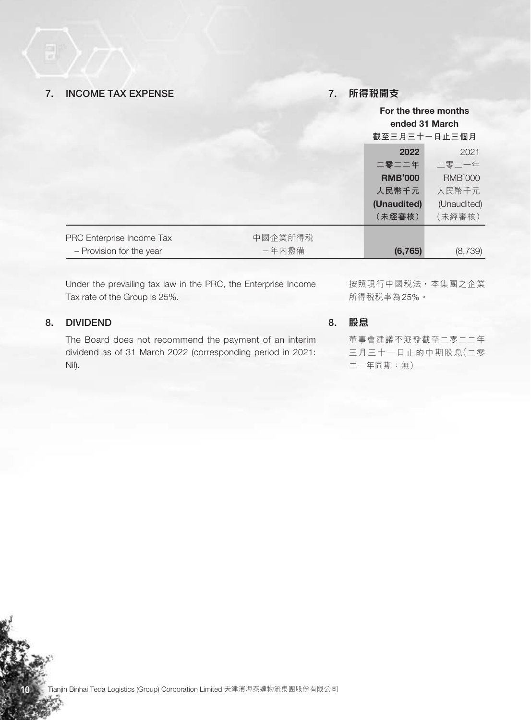## 7. INCOME TAX EXPENSE

## 7. **所得稅開支**

|                           |         | For the three months<br>ended 31 March<br>截至三月三十一日止三個月 |                |
|---------------------------|---------|--------------------------------------------------------|----------------|
|                           |         | 2022                                                   | 2021           |
|                           |         | 二零二二年                                                  | 二零二一年          |
|                           |         | <b>RMB'000</b>                                         | <b>RMB'000</b> |
|                           |         | 人民幣千元                                                  | 人民幣千元          |
|                           |         | (Unaudited)                                            | (Unaudited)    |
|                           |         | (未經審核)                                                 | (未經審核)         |
| PRC Enterprise Income Tax | 中國企業所得税 |                                                        |                |
| - Provision for the year  | 一年內撥備   | (6, 765)                                               | (8,739)        |

Under the prevailing tax law in the PRC, the Enterprise Income Tax rate of the Group is 25%.

## 8. DIVIDEND

The Board does not recommend the payment of an interim dividend as of 31 March 2022 (corresponding period in 2021: Nil).

按照現行中國稅法,本集團之企業 所得稅稅率為25%。

8. **股息**

董事會建議不派發截至二零二二年 三月三十一日止的中期股息(二零 二一年同期:無)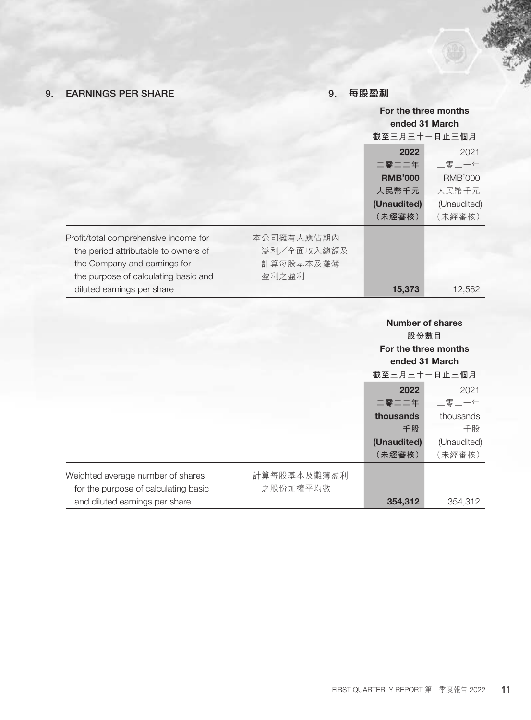# 9. EARNINGS PER SHARE

## 9. **每股盈利**

|                                       |             | For the three months                                                      |                |
|---------------------------------------|-------------|---------------------------------------------------------------------------|----------------|
|                                       |             | ended 31 March                                                            |                |
|                                       |             | 截至三月三十一日止三個月                                                              |                |
|                                       |             | 2022                                                                      | 2021           |
|                                       |             | 二零二二年                                                                     | 二零二一年          |
|                                       |             | <b>RMB'000</b>                                                            | <b>RMB'000</b> |
|                                       |             | 人民幣千元                                                                     | 人民幣千元          |
|                                       |             | (Unaudited)                                                               | (Unaudited)    |
|                                       |             | (未經審核)                                                                    | (未經審核)         |
| Profit/total comprehensive income for | 本公司擁有人應佔期內  |                                                                           |                |
| the period attributable to owners of  | 溢利/全面收入總額及  |                                                                           |                |
| the Company and earnings for          | 計算每股基本及攤薄   |                                                                           |                |
| the purpose of calculating basic and  | 盈利之盈利       |                                                                           |                |
| diluted earnings per share            |             | 15,373                                                                    | 12,582         |
|                                       |             | <b>Number of shares</b><br>股份數目<br>For the three months<br>ended 31 March |                |
|                                       |             | 截至三月三十一日止三個月                                                              |                |
|                                       |             | 2022                                                                      | 2021           |
|                                       |             | 二零二二年                                                                     | 二零二一年          |
|                                       |             | thousands                                                                 | thousands      |
|                                       |             | 千股                                                                        | 千股             |
|                                       |             | (Unaudited)                                                               | (Unaudited)    |
|                                       |             | (未經審核)                                                                    | (未經審核)         |
| Weighted average number of shares     | 計算每股基本及攤薄盈利 |                                                                           |                |
| for the purpose of calculating basic  | 之股份加權平均數    |                                                                           |                |
| and diluted earnings per share        |             | 354,312                                                                   | 354,312        |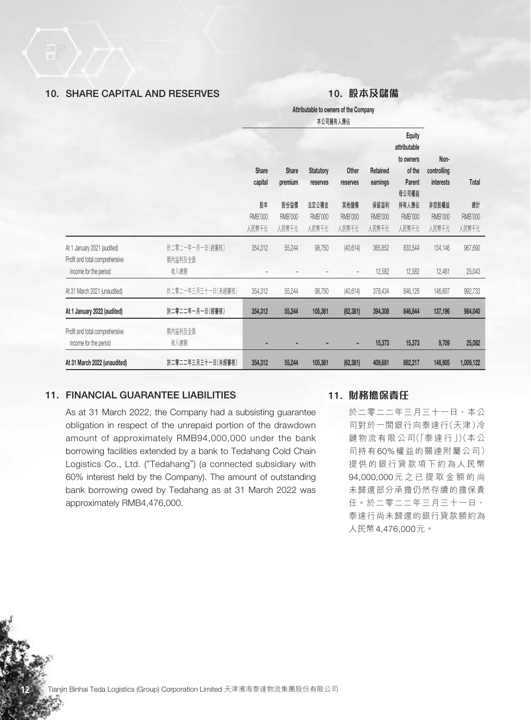## 10. SHARE CAPITAL AND RESERVES

## 10. **股本及儲備**

Attributable to owners of the Company **本公司擁有人應佔**

|                                                                                        |                                    |                               |                                 |                                  |                                       |                                 | <b>Equity</b><br>attributable          |                                         |                               |
|----------------------------------------------------------------------------------------|------------------------------------|-------------------------------|---------------------------------|----------------------------------|---------------------------------------|---------------------------------|----------------------------------------|-----------------------------------------|-------------------------------|
|                                                                                        |                                    | <b>Share</b><br>capital       | <b>Share</b><br>premium         | <b>Statutory</b><br>reserves     | Other<br>reserves                     | Retained<br>earnings            | to owners<br>of the<br>Parent<br>母公司權益 | Non-<br>controlling<br><b>interests</b> | Total                         |
|                                                                                        |                                    | 股本<br><b>RMB'000</b><br>人民幣千元 | 股份溢價<br><b>RMB'000</b><br>人民幣千元 | 法定公積金<br><b>RMB'000</b><br>人民幣千元 | 其他儲備<br><b>RMB'000</b><br>人民幣千元       | 保留溢利<br><b>RMB'000</b><br>人民幣千元 | 持有人應佔<br><b>RMB'000</b><br>人民幣千元       | 非控股權益<br><b>RMB'000</b><br>人民幣千元        | 總計<br><b>RMB'000</b><br>人民幣千元 |
| At 1 January 2021 (audited)<br>Profit and total comprehensive<br>income for the period | 於二零二一年一月一日(經審核)<br>期内溢利及全面<br>收入總額 | 354,312                       | 55,244                          | 98,750                           | (40, 614)<br>$\overline{\phantom{a}}$ | 365,852<br>12,582               | 833,544<br>12,582                      | 134,146<br>12,461                       | 967,690<br>25,043             |
| At 31 March 2021 (unaudited)                                                           | 於二零二一年三月三十一日(未經審核)                 | 354,312                       | 55,244                          | 98,750                           | (40, 614)                             | 378,434                         | 846,126                                | 146,607                                 | 992,733                       |
| At 1 January 2022 (audited)                                                            | 於二零二二年一月一日(經審核)                    | 354,312                       | 55,244                          | 105,361                          | (62, 381)                             | 394,308                         | 846,844                                | 137,196                                 | 984,040                       |
| Profit and total comprehensive<br>income for the period                                | 期内溢利及全面<br>收入總額                    |                               |                                 |                                  | ٠                                     | 15,373                          | 15,373                                 | 9,709                                   | 25,082                        |
| At 31 March 2022 (unaudited)                                                           | 於二零二二年三月三十一日(未經審核)                 | 354,312                       | 55,244                          | 105,361                          | (62, 381)                             | 409,681                         | 862,217                                | 146,905                                 | 1,009,122                     |

## 11. FINANCIAL GUARANTEE LIABILITIES

As at 31 March 2022, the Company had a subsisting guarantee obligation in respect of the unrepaid portion of the drawdown amount of approximately RMB94,000,000 under the bank borrowing facilities extended by a bank to Tedahang Cold Chain Logistics Co., Ltd. ("Tedahang") (a connected subsidiary with 60% interest held by the Company). The amount of outstanding bank borrowing owed by Tedahang as at 31 March 2022 was approximately RMB4,476,000.

### 11. **財務擔保責任**

於二零二二年三月三十一日,本公 司對於一間銀行向泰達行(天津)冷 鏈物流有限公司(「泰達行」)(本公 司持有60%權益的關連附屬公司) 提供的銀行貸款項下約為人民幣 94,000,000元之已提取金額的尚 未歸還部分承擔仍然存續的擔保責 任。於二零二二年三月三十一日, 泰達行尚未歸還的銀行貸款額約為 人民幣4,476,000元。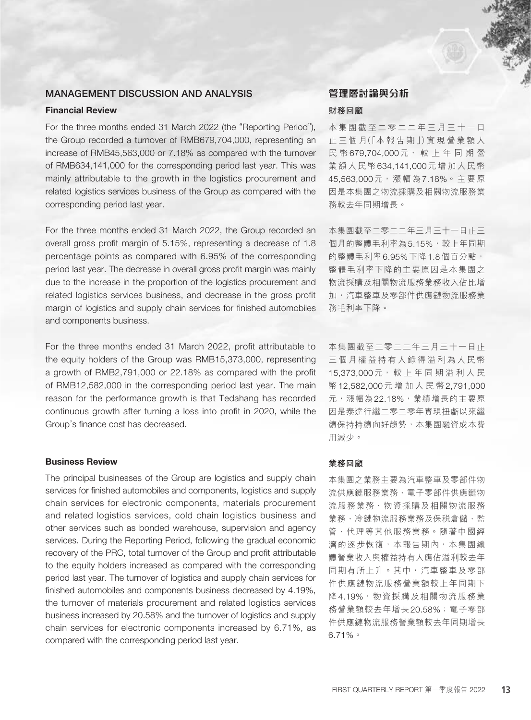## MANAGEMENT DISCUSSION AND ANALYSIS

### Financial Review

For the three months ended 31 March 2022 (the "Reporting Period"), the Group recorded a turnover of RMB679,704,000, representing an increase of RMB45,563,000 or 7.18% as compared with the turnover of RMB634,141,000 for the corresponding period last year. This was mainly attributable to the growth in the logistics procurement and related logistics services business of the Group as compared with the corresponding period last year.

For the three months ended 31 March 2022, the Group recorded an overall gross profit margin of 5.15%, representing a decrease of 1.8 percentage points as compared with 6.95% of the corresponding period last year. The decrease in overall gross profit margin was mainly due to the increase in the proportion of the logistics procurement and related logistics services business, and decrease in the gross profit margin of logistics and supply chain services for finished automobiles and components business.

For the three months ended 31 March 2022, profit attributable to the equity holders of the Group was RMB15,373,000, representing a growth of RMB2,791,000 or 22.18% as compared with the profit of RMB12,582,000 in the corresponding period last year. The main reason for the performance growth is that Tedahang has recorded continuous growth after turning a loss into profit in 2020, while the Group's finance cost has decreased.

### Business Review

The principal businesses of the Group are logistics and supply chain services for finished automobiles and components, logistics and supply chain services for electronic components, materials procurement and related logistics services, cold chain logistics business and other services such as bonded warehouse, supervision and agency services. During the Reporting Period, following the gradual economic recovery of the PRC, total turnover of the Group and profit attributable to the equity holders increased as compared with the corresponding period last year. The turnover of logistics and supply chain services for finished automobiles and components business decreased by 4.19%, the turnover of materials procurement and related logistics services business increased by 20.58% and the turnover of logistics and supply chain services for electronic components increased by 6.71%, as compared with the corresponding period last year.

# **管理層討論與分析**

## **財務回顧**

本集團截至二零二二年三月三十一日 止 三 個 月(「本 報 告 期 」)實 現 營 業 額 人 民 幣679,704,000元, 較 上 年 同 期 營 業額人民幣634,141,000元增加人民幣 45,563,000元,漲幅為7,18%。主要原 因是本集團之物流採購及相關物流服務業 務較去年同期增長。

本集團截至二零二二年三月三十一日止三 個月的整體毛利率為5.15%,較上年同期 的整體毛利率6.95%下降1.8個百分點, 整體毛利率下降的主要原因是本集團之 物流採購及相關物流服務業務收入佔比增 加,汽車整車及零部件供應鏈物流服務業 務毛利率下降。

本集團截至二零二二年三月三十一日止 三個月權益持有人錄得溢利為人民幣 15,373,000元, 較 上 年 同 期 溢 利 人 民 幣12,582,000元增加人民幣2,791,000 元,漲幅為22.18%,業績增長的主要原 因是泰達行繼二零二零年實現扭虧以來繼 續保持持續向好趨勢,本集團融資成本費 用減少。

#### **業務回顧**

本集團之業務主要為汽車整車及零部件物 流供應鏈服務業務、電子零部件供應鏈物 流服務業務、物資採購及相關物流服務 業務、冷鏈物流服務業務及保稅倉儲、監 管、代理等其他服務業務。隨著中國經 濟的逐步恢復,本報告期內,本集團總 體營業收入與權益持有人應佔溢利較去年 同期有所上升。其中,汽車整車及零部 件供應鏈物流服務營業額較上年同期下 降4.19%,物資採購及相關物流服務業 務營業額較去年增長20.58%;電子零部 件供應鏈物流服務營業額較去年同期增長 6.71%。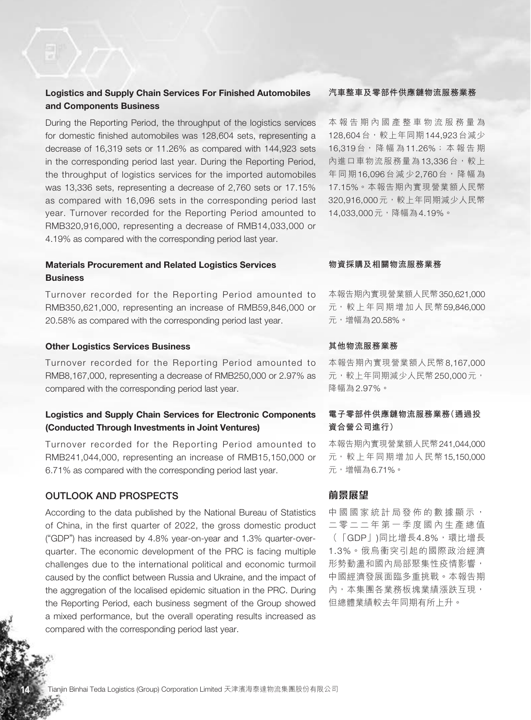## Logistics and Supply Chain Services For Finished Automobiles and Components Business

During the Reporting Period, the throughput of the logistics services for domestic finished automobiles was 128,604 sets, representing a decrease of 16,319 sets or 11.26% as compared with 144,923 sets in the corresponding period last year. During the Reporting Period, the throughput of logistics services for the imported automobiles was 13,336 sets, representing a decrease of 2,760 sets or 17.15% as compared with 16,096 sets in the corresponding period last year. Turnover recorded for the Reporting Period amounted to RMB320,916,000, representing a decrease of RMB14,033,000 or 4.19% as compared with the corresponding period last year.

## Materials Procurement and Related Logistics Services **Business**

Turnover recorded for the Reporting Period amounted to RMB350,621,000, representing an increase of RMB59,846,000 or 20.58% as compared with the corresponding period last year.

### Other Logistics Services Business

Turnover recorded for the Reporting Period amounted to RMB8,167,000, representing a decrease of RMB250,000 or 2.97% as compared with the corresponding period last year.

## Logistics and Supply Chain Services for Electronic Components (Conducted Through Investments in Joint Ventures)

Turnover recorded for the Reporting Period amounted to RMB241,044,000, representing an increase of RMB15,150,000 or 6.71% as compared with the corresponding period last year.

## OUTLOOK AND PROSPECTS

According to the data published by the National Bureau of Statistics of China, in the first quarter of 2022, the gross domestic product ("GDP") has increased by 4.8% year-on-year and 1.3% quarter-overquarter. The economic development of the PRC is facing multiple challenges due to the international political and economic turmoil caused by the conflict between Russia and Ukraine, and the impact of the aggregation of the localised epidemic situation in the PRC. During the Reporting Period, each business segment of the Group showed a mixed performance, but the overall operating results increased as compared with the corresponding period last year.

### **汽車整車及零部件供應鏈物流服務業務**

本報告期內國產整車物流服務量為 128,604台,較上年同期144,923台減少 16,319台, 降 幅 為11.26%;本報告期 內進口車物流服務量為13,336台,較上 年同期16,096台減少2,760台,降幅為 17.15%。本報告期內實現營業額人民幣 320,916,000元,較上年同期減少人民幣 14,033,000元,降幅為4.19%。

### **物資採購及相關物流服務業務**

本報告期內實現營業額人民幣350,621,000 元,較上年同期增加人民幣59,846,000 元,增幅為20.58%。

#### **其他物流服務業務**

本報告期內實現營業額人民幣8,167,000 元,較上年同期減少人民幣250,000元, 降幅為2.97%。

## **電子零部件供應鏈物流服務業務(通過投 資合營公司進行)**

本報告期內實現營業額人民幣241,044,000 元,較上年同期增加人民幣15,150,000 元,增幅為6.71%。

## **前景展望**

中國國家統計局發佈的數據顯示, 二零二二年第一季度國內生產總值 (「GDP」)同比增長4.8%,環比增長 1.3%。俄烏衝突引起的國際政治經濟 形勢動盪和國內局部聚集性疫情影響, 中國經濟發展面臨多重挑戰。本報告期 內,本集團各業務板塊業績漲跌互現, 但總體業績較去年同期有所上升。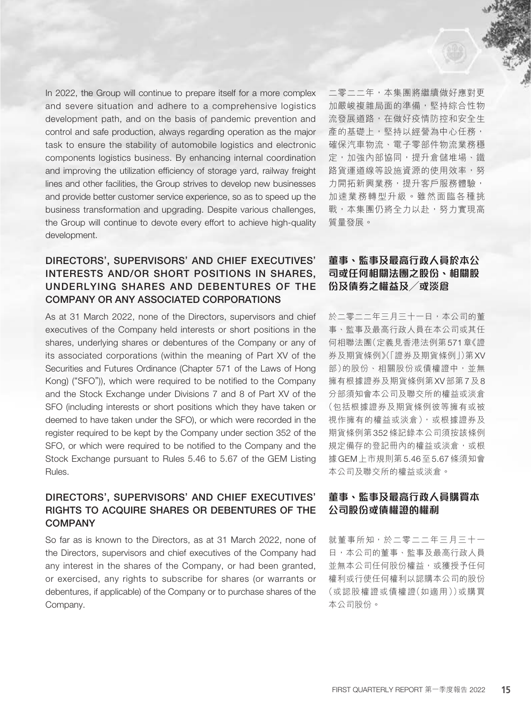In 2022, the Group will continue to prepare itself for a more complex and severe situation and adhere to a comprehensive logistics development path, and on the basis of pandemic prevention and control and safe production, always regarding operation as the major task to ensure the stability of automobile logistics and electronic components logistics business. By enhancing internal coordination and improving the utilization efficiency of storage yard, railway freight lines and other facilities, the Group strives to develop new businesses and provide better customer service experience, so as to speed up the business transformation and upgrading. Despite various challenges, the Group will continue to devote every effort to achieve high-quality development.

# DIRECTORS', SUPERVISORS' AND CHIEF EXECUTIVES' INTERESTS AND/OR SHORT POSITIONS IN SHARES, UNDERLYING SHARES AND DEBENTURES OF THE COMPANY OR ANY ASSOCIATED CORPORATIONS

As at 31 March 2022, none of the Directors, supervisors and chief executives of the Company held interests or short positions in the shares, underlying shares or debentures of the Company or any of its associated corporations (within the meaning of Part XV of the Securities and Futures Ordinance (Chapter 571 of the Laws of Hong Kong) ("SFO")), which were required to be notified to the Company and the Stock Exchange under Divisions 7 and 8 of Part XV of the SFO (including interests or short positions which they have taken or deemed to have taken under the SFO), or which were recorded in the register required to be kept by the Company under section 352 of the SFO, or which were required to be notified to the Company and the Stock Exchange pursuant to Rules 5.46 to 5.67 of the GEM Listing Rules.

## DIRECTORS', SUPERVISORS' AND CHIEF EXECUTIVES' RIGHTS TO ACQUIRE SHARES OR DEBENTURES OF THE **COMPANY**

So far as is known to the Directors, as at 31 March 2022, none of the Directors, supervisors and chief executives of the Company had any interest in the shares of the Company, or had been granted, or exercised, any rights to subscribe for shares (or warrants or debentures, if applicable) of the Company or to purchase shares of the Company.

二零二二年,本集團將繼續做好應對更 加嚴峻複雜局面的準備,堅持綜合性物 流發展道路,在做好疫情防控和安全生 產的基礎上,堅持以經營為中心任務, 確保汽車物流、電子零部件物流業務穩 定,加強內部協同,提升倉儲堆場、鐵 路貨運道線等設施資源的使用效率,努 力開拓新興業務,提升客戶服務體驗, 加速業務轉型升級。雖然面臨各種挑 戦,本集團仍將全力以赴,努力實現高 質量發展。

# **董事、監事及最高行政人員於本公 司或任何相關法團之股份、相關股 份及債券之權益及╱或淡倉**

於二零二二年三月三十一日,本公司的董 事、監事及最高行政人員在本公司或其任 何相聯法團(定義見香港法例第571章《證 券及期貨條例》(「證券及期貨條例」)第XV 部)的股份、相關股份或債權證中,並無 擁有根據證券及期貨條例第XV部第7及8 分部須知會本公司及聯交所的權益或淡倉 (包括根據證券及期貨條例彼等擁有或被 視作擁有的權益或淡倉), 或根據證券及 期貨條例第352條記錄本公司須按該條例 規定備存的登記冊內的權益或淡倉,或根 據GEM上市規則第5.46至5.67條須知會 本公司及聯交所的權益或淡倉。

## **董事、監事及最高行政人員購買本 公司股份或債權證的權利**

就董事所知,於二零二二年三月三十一 日,本公司的董事、監事及最高行政人員 並無本公司任何股份權益,或獲授予任何 權利或行使任何權利以認購本公司的股份 (或認股權證或債權證(如適用))或購買 本公司股份。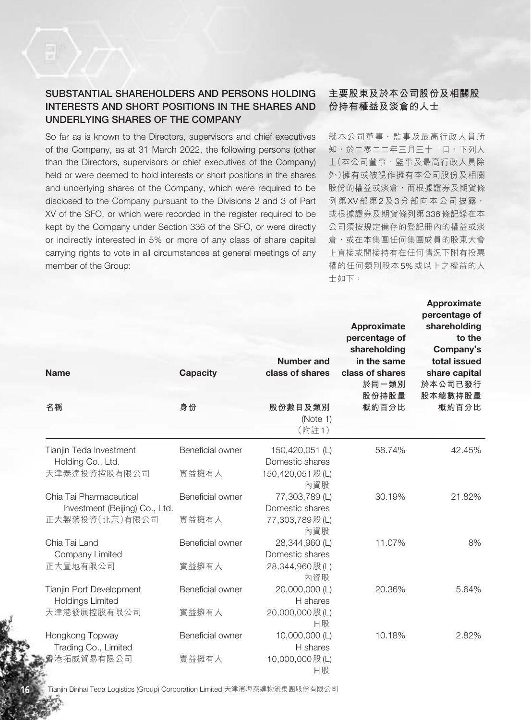# SUBSTANTIAL SHAREHOLDERS AND PERSONS HOLDING INTERESTS AND SHORT POSITIONS IN THE SHARES AND UNDERLYING SHARES OF THE COMPANY

So far as is known to the Directors, supervisors and chief executives of the Company, as at 31 March 2022, the following persons (other than the Directors, supervisors or chief executives of the Company) held or were deemed to hold interests or short positions in the shares and underlying shares of the Company, which were required to be disclosed to the Company pursuant to the Divisions 2 and 3 of Part XV of the SFO, or which were recorded in the register required to be kept by the Company under Section 336 of the SFO, or were directly or indirectly interested in 5% or more of any class of share capital carrying rights to vote in all circumstances at general meetings of any member of the Group:

## **主要股東及於本公司股份及相關股 份持有權益及淡倉的人士**

就本公司董事、監事及最高行政人員所 知,於二零二二年三月三十一日,下列人 士(本公司董事、監事及最高行政人員除 外)擁有或被視作擁有本公司股份及相關 股份的權益或淡倉,而根據證券及期貨條 例第XV部第2及3分部向本公司披露, 或根據證券及期貨條列第336條記錄在本 公司須按規定備存的登記冊內的權益或淡 倉,或在本集團任何集團成員的股東大會 上直接或間接持有在任何情況下附有投票 權的任何類別股本5%或以上之權益的人 士如下:

| <b>Name</b>                                                                 | <b>Capacity</b>           | <b>Number and</b><br>class of shares                          | Approximate<br>percentage of<br>shareholding<br>in the same<br>class of shares<br>於同一類別<br>股份持股量 | <b>Approximate</b><br>percentage of<br>shareholding<br>to the<br>Company's<br>total issued<br>share capital<br>於本公司已發行<br>股本總數持股量 |
|-----------------------------------------------------------------------------|---------------------------|---------------------------------------------------------------|--------------------------------------------------------------------------------------------------|-----------------------------------------------------------------------------------------------------------------------------------|
| 名稱                                                                          | 身份                        | 股份數目及類別<br>(Note 1)<br>(附註1)                                  | 概約百分比                                                                                            | 概約百分比                                                                                                                             |
| Tianjin Teda Investment<br>Holding Co., Ltd.<br>天津泰達投資控股有限公司                | Beneficial owner<br>實益擁有人 | 150,420,051 (L)<br>Domestic shares<br>150,420,051 股(L)<br>內資股 | 58.74%                                                                                           | 42.45%                                                                                                                            |
| Chia Tai Pharmaceutical<br>Investment (Beijing) Co., Ltd.<br>正大製藥投資(北京)有限公司 | Beneficial owner<br>實益擁有人 | 77,303,789 (L)<br>Domestic shares<br>77,303,789股(L)<br>內資股    | 30.19%                                                                                           | 21.82%                                                                                                                            |
| Chia Tai Land<br>Company Limited<br>正大置地有限公司                                | Beneficial owner<br>實益擁有人 | 28,344,960 (L)<br>Domestic shares<br>28,344,960 股(L)<br>內資股   | 11.07%                                                                                           | 8%                                                                                                                                |
| Tianjin Port Development<br><b>Holdings Limited</b><br>天津港發展控股有限公司          | Beneficial owner<br>實益擁有人 | 20,000,000 (L)<br>H shares<br>20,000,000 股(L)<br>H股           | 20.36%                                                                                           | 5.64%                                                                                                                             |
| Hongkong Topway<br>Trading Co., Limited<br>香港拓威貿易有限公司                       | Beneficial owner<br>實益擁有人 | 10,000,000 (L)<br>H shares<br>10,000,000 股(L)<br>H股           | 10.18%                                                                                           | 2.82%                                                                                                                             |

**16** Tianjin Binhai Teda Logistics (Group) Corporation Limited 天津濱海泰達物流集團股份有限公司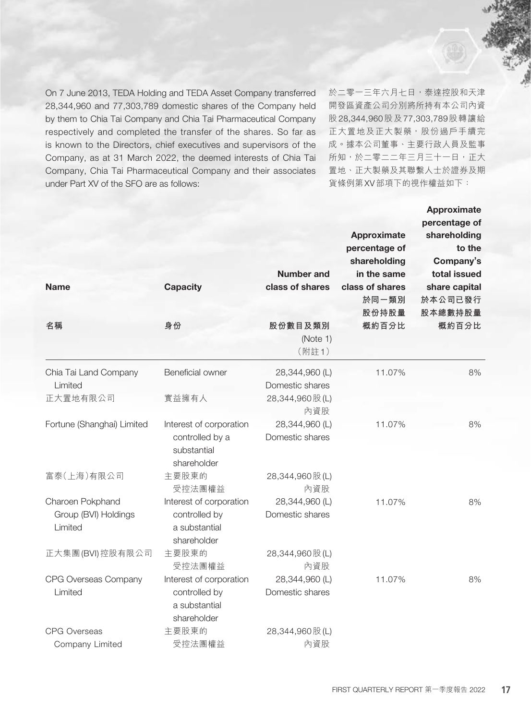On 7 June 2013, TEDA Holding and TEDA Asset Company transferred 28,344,960 and 77,303,789 domestic shares of the Company held by them to Chia Tai Company and Chia Tai Pharmaceutical Company respectively and completed the transfer of the shares. So far as is known to the Directors, chief executives and supervisors of the Company, as at 31 March 2022, the deemed interests of Chia Tai Company, Chia Tai Pharmaceutical Company and their associates under Part XV of the SFO are as follows:

於二零一三年六月七日,泰達控股和天津 開發區資產公司分別將所持有本公司內資 股28,344,960股及77,303,789股轉讓給 正大置地及正大製藥,股份過戶手續完 成。據本公司董事、主要行政人員及監事 所知,於二零二二年三月三十一日,正大 置地、正大製藥及其聯繫人士於證券及期 貨條例第XV部項下的視作權益如下:

| <b>Name</b><br>名稱                                   | <b>Capacity</b><br>身份                                                    | Number and<br>class of shares<br>股份數目及類別<br>(Note 1)<br>(附註1) | <b>Approximate</b><br>percentage of<br>shareholding<br>in the same<br>class of shares<br>於同一類別<br>股份持股量<br>概約百分比 | <b>Approximate</b><br>percentage of<br>shareholding<br>to the<br>Company's<br>total issued<br>share capital<br>於本公司已發行<br>股本總數持股量<br>概約百分比 |
|-----------------------------------------------------|--------------------------------------------------------------------------|---------------------------------------------------------------|------------------------------------------------------------------------------------------------------------------|--------------------------------------------------------------------------------------------------------------------------------------------|
| Chia Tai Land Company<br>Limited                    | Beneficial owner                                                         | 28,344,960 (L)<br>Domestic shares                             | 11.07%                                                                                                           | 8%                                                                                                                                         |
| 正大置地有限公司                                            | 實益擁有人                                                                    | 28,344,960 股(L)<br>內資股                                        |                                                                                                                  |                                                                                                                                            |
| Fortune (Shanghai) Limited                          | Interest of corporation<br>controlled by a<br>substantial<br>shareholder | 28,344,960 (L)<br>Domestic shares                             | 11.07%                                                                                                           | 8%                                                                                                                                         |
| 富泰(上海)有限公司                                          | 主要股東的<br>受控法團權益                                                          | 28,344,960 股(L)<br>內資股                                        |                                                                                                                  |                                                                                                                                            |
| Charoen Pokphand<br>Group (BVI) Holdings<br>Limited | Interest of corporation<br>controlled by<br>a substantial<br>shareholder | 28,344,960 (L)<br>Domestic shares                             | 11.07%                                                                                                           | 8%                                                                                                                                         |
| 正大集團(BVI)控股有限公司                                     | 主要股東的<br>受控法團權益                                                          | 28,344,960 股(L)<br>內資股                                        |                                                                                                                  |                                                                                                                                            |
| CPG Overseas Company<br>Limited                     | Interest of corporation<br>controlled by<br>a substantial<br>shareholder | 28,344,960 (L)<br>Domestic shares                             | 11.07%                                                                                                           | 8%                                                                                                                                         |
| <b>CPG Overseas</b><br>Company Limited              | 主要股東的<br>受控法團權益                                                          | 28,344,960 股(L)<br>內資股                                        |                                                                                                                  |                                                                                                                                            |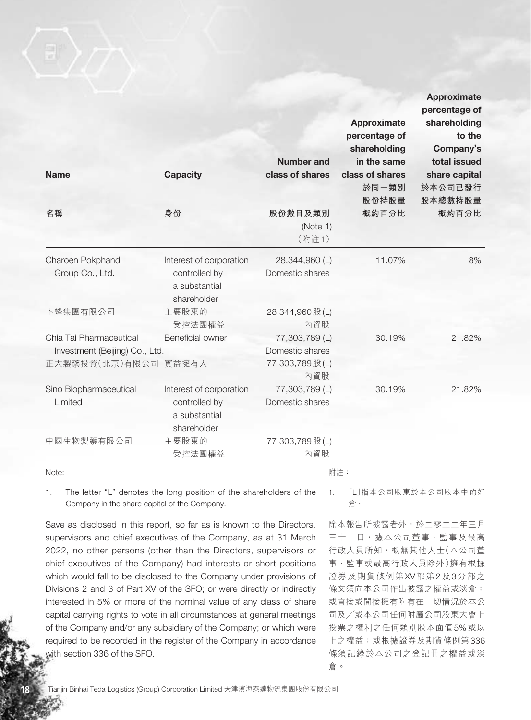| <b>Name</b><br>名稱                                                                 | <b>Capacity</b><br>身份                                                    | <b>Number and</b><br>class of shares<br>股份數目及類別             | Approximate<br>percentage of<br>shareholding<br>in the same<br>class of shares<br>於同一類別<br>股份持股量<br>概約百分比 | <b>Approximate</b><br>percentage of<br>shareholding<br>to the<br>Company's<br>total issued<br>share capital<br>於本公司已發行<br>股本總數持股量<br>概約百分比 |
|-----------------------------------------------------------------------------------|--------------------------------------------------------------------------|-------------------------------------------------------------|-----------------------------------------------------------------------------------------------------------|--------------------------------------------------------------------------------------------------------------------------------------------|
|                                                                                   |                                                                          | (Note 1)<br>(附註1)                                           |                                                                                                           |                                                                                                                                            |
| Charoen Pokphand<br>Group Co., Ltd.                                               | Interest of corporation<br>controlled by<br>a substantial<br>shareholder | 28,344,960 (L)<br>Domestic shares                           | 11.07%                                                                                                    | 8%                                                                                                                                         |
| 卜蜂集團有限公司                                                                          | 主要股東的<br>受控法團權益                                                          | 28,344,960 股(L)<br>內資股                                      |                                                                                                           |                                                                                                                                            |
| Chia Tai Pharmaceutical<br>Investment (Beijing) Co., Ltd.<br>正大製藥投資(北京)有限公司 實益擁有人 | <b>Beneficial owner</b>                                                  | 77,303,789 (L)<br>Domestic shares<br>77,303,789 股(L)<br>內資股 | 30.19%                                                                                                    | 21.82%                                                                                                                                     |
| Sino Biopharmaceutical<br>Limited                                                 | Interest of corporation<br>controlled by<br>a substantial<br>shareholder | 77,303,789 (L)<br>Domestic shares                           | 30.19%                                                                                                    | 21.82%                                                                                                                                     |
| 中國生物製藥有限公司                                                                        | 主要股東的<br>受控法團權益                                                          | 77,303,789 股(L)<br>內資股<br>$\frac{\pi}{12}$                  |                                                                                                           |                                                                                                                                            |

Note:

附註:

1. The letter "L" denotes the long position of the shareholders of the Company in the share capital of the Company.

Save as disclosed in this report, so far as is known to the Directors, supervisors and chief executives of the Company, as at 31 March 2022, no other persons (other than the Directors, supervisors or chief executives of the Company) had interests or short positions which would fall to be disclosed to the Company under provisions of Divisions 2 and 3 of Part XV of the SFO; or were directly or indirectly interested in 5% or more of the nominal value of any class of share capital carrying rights to vote in all circumstances at general meetings of the Company and/or any subsidiary of the Company; or which were required to be recorded in the register of the Company in accordance with section 336 of the SFO.

1. 「L」指本公司股東於本公司股本中的好 倉。

除本報告所披露者外,於二零二二年三月 三十一日,據本公司董事、監事及最高 行政人員所知,概無其他人士(本公司董 事、監事或最高行政人員除外)擁有根據 證券及期貨條例第XV部第2及3分部之 條文須向本公司作出披露之權益或淡倉; 或直接或間接擁有附有在一切情況於本公 司及╱或本公司任何附屬公司股東大會上 投票之權利之任何類別股本面值5%或以 上之權益;或根據證券及期貨條例第336 條須記錄於本公司之登記冊之權益或淡 倉。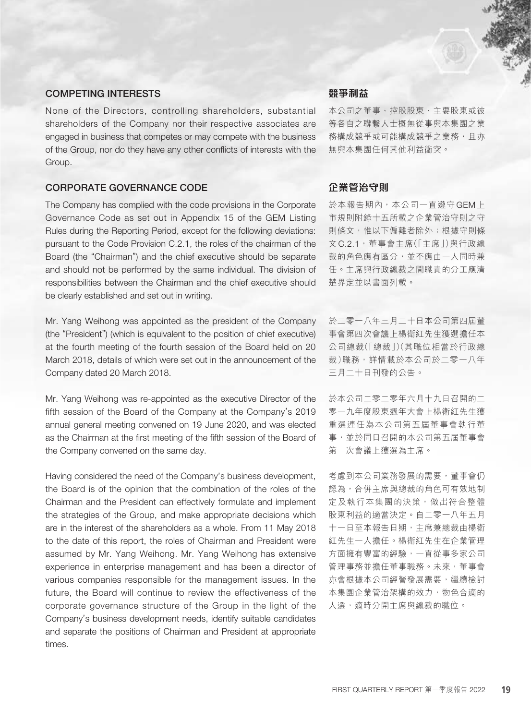## COMPETING INTERESTS

None of the Directors, controlling shareholders, substantial shareholders of the Company nor their respective associates are engaged in business that competes or may compete with the business of the Group, nor do they have any other conflicts of interests with the Group.

## CORPORATE GOVERNANCE CODE

The Company has complied with the code provisions in the Corporate Governance Code as set out in Appendix 15 of the GEM Listing Rules during the Reporting Period, except for the following deviations: pursuant to the Code Provision C.2.1, the roles of the chairman of the Board (the "Chairman") and the chief executive should be separate and should not be performed by the same individual. The division of responsibilities between the Chairman and the chief executive should be clearly established and set out in writing.

Mr. Yang Weihong was appointed as the president of the Company (the "President") (which is equivalent to the position of chief executive) at the fourth meeting of the fourth session of the Board held on 20 March 2018, details of which were set out in the announcement of the Company dated 20 March 2018.

Mr. Yang Weihong was re-appointed as the executive Director of the fifth session of the Board of the Company at the Company's 2019 annual general meeting convened on 19 June 2020, and was elected as the Chairman at the first meeting of the fifth session of the Board of the Company convened on the same day.

Having considered the need of the Company's business development, the Board is of the opinion that the combination of the roles of the Chairman and the President can effectively formulate and implement the strategies of the Group, and make appropriate decisions which are in the interest of the shareholders as a whole. From 11 May 2018 to the date of this report, the roles of Chairman and President were assumed by Mr. Yang Weihong. Mr. Yang Weihong has extensive experience in enterprise management and has been a director of various companies responsible for the management issues. In the future, the Board will continue to review the effectiveness of the corporate governance structure of the Group in the light of the Company's business development needs, identify suitable candidates and separate the positions of Chairman and President at appropriate times.

## **競爭利益**

本公司之董事、控股股東、主要股東或彼 等各自之聯繫人士概無從事與本集團之業 務構成競爭或可能構成競爭之業務,且亦 無與本集團任何其他利益衝突。

## **企業管治守則**

於本報告期內,本公司一直遵守GEM上 市規則附錄十五所載之企業管治守則之守 則條文,惟以下偏離者除外;根據守則條 文C.2.1,董事會主席(「主席」)與行政總 裁的角色應有區分,並不應由一人同時兼 任。主席與行政總裁之間職責的分工應清 楚界定並以書面列載。

於二零一八年三月二十日本公司第四屆董 事會第四次會議上楊衛紅先生獲選擔任本 公司總裁(「總裁」)(其職位相當於行政總 裁)職務,詳情載於本公司於二零一八年 三月二十日刊發的公告。

於本公司二零二零年六月十九日召開的二 零一九年度股東週年大會上楊衛紅先生獲 重選連任為本公司第五屆董事會執行董 事,並於同日召開的本公司第五屆董事會 第一次會議上獲選為主席。

考慮到本公司業務發展的需要,董事會仍 認為,合併主席與總裁的角色可有效地制 定及執行本集團的決策,做出符合整體 股東利益的適當決定。自二零一八年五月 十一日至本報告日期,主席兼總裁由楊衛 紅先生一人擔任。楊衛紅先生在企業管理 方面擁有豐富的經驗,一直從事多家公司 管理事務並擔任董事職務。未來,董事會 亦會根據本公司經營發展需要,繼續檢討 本集團企業管治架構的效力,物色合適的 人選,適時分開主席與總裁的職位。